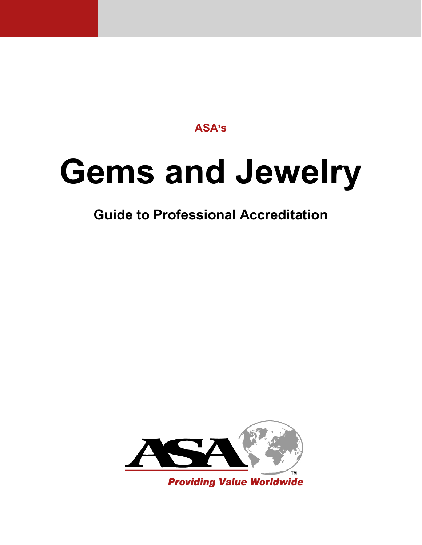**ASA's**

# **Gems and Jewelry**

### **Guide to Professional Accreditation**

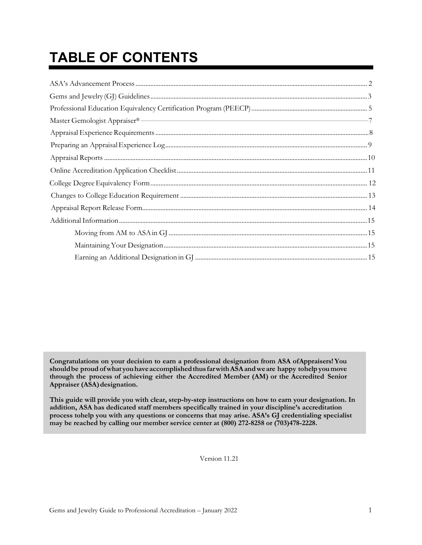# **TABLE OF CONTENTS**

**Congratulations on your decision to earn a professional designation from ASA ofAppraisers!You shouldbe proud ofwhat youhaveaccomplishedthus farwithASAandweare happy tohelp youmove through the process of achieving either the Accredited Member (AM) or the Accredited Senior Appraiser (ASA)designation.**

**This guide will provide you with clear, step-by-step instructions on how to earn your designation. In addition, ASA has dedicated staff members specifically trained in your discipline's accreditation process tohelp you with any questions or concerns that may arise. ASA's GJ credentialing specialist may be reached by calling our member service center at (800) 272-8258 or (703)478-2228.**

Version 11.21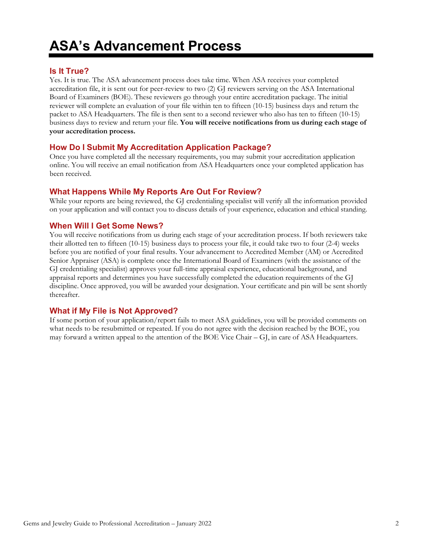### **ASA's Advancement Process**

#### <span id="page-2-0"></span>**Is It True?**

Yes. It is true. The ASA advancement process does take time. When ASA receives your completed accreditation file, it is sent out for peer-review to two (2) GJ reviewers serving on the ASA International Board of Examiners (BOE). These reviewers go through your entire accreditation package. The initial reviewer will complete an evaluation of your file within ten to fifteen (10-15) business days and return the packet to ASA Headquarters. The file is then sent to a second reviewer who also has ten to fifteen (10-15) business days to review and return your file. **You will receive notifications from us during each stage of your accreditation process.**

#### **How Do I Submit My Accreditation Application Package?**

Once you have completed all the necessary requirements, you may submit your accreditation application online. You will receive an email notification from ASA Headquarters once your completed application has been received.

#### **What Happens While My Reports Are Out For Review?**

While your reports are being reviewed, the GJ credentialing specialist will verify all the information provided on your application and will contact you to discuss details of your experience, education and ethical standing.

#### **When Will I Get Some News?**

You will receive notifications from us during each stage of your accreditation process. If both reviewers take their allotted ten to fifteen (10-15) business days to process your file, it could take two to four (2-4) weeks before you are notified of your final results. Your advancement to Accredited Member (AM) or Accredited Senior Appraiser (ASA) is complete once the International Board of Examiners (with the assistance of the GJ credentialing specialist) approves your full-time appraisal experience, educational background, and appraisal reports and determines you have successfully completed the education requirements of the GJ discipline. Once approved, you will be awarded your designation. Your certificate and pin will be sent shortly thereafter.

#### **What if My File is Not Approved?**

If some portion of your application/report fails to meet ASA guidelines, you will be provided comments on what needs to be resubmitted or repeated. If you do not agree with the decision reached by the BOE, you may forward a written appeal to the attention of the BOE Vice Chair – GJ, in care of ASA Headquarters.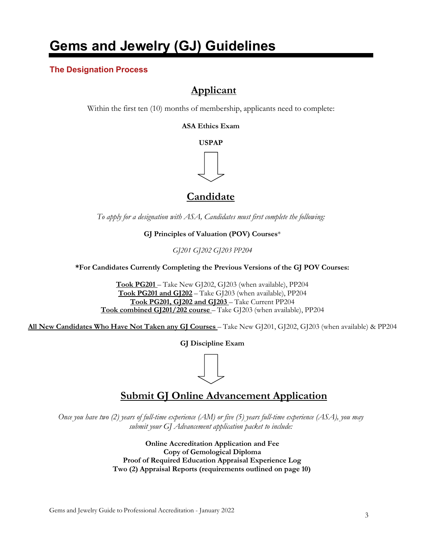### **Gems and Jewelry (GJ) Guidelines**

#### <span id="page-3-0"></span>**The Designation Process**

### **Applicant**

Within the first ten (10) months of membership, applicants need to complete:

**ASA Ethics Exam**

**USPAP**



### **Candidate**

*To apply for a designation with ASA, Candidates must first complete the following:*

**GJ Principles of Valuation (POV) Courses**\*

*GJ201 GJ202 GJ203 PP204*

**\*For Candidates Currently Completing the Previous Versions of the GJ POV Courses:**

**Took PG201** – Take New GJ202, GJ203 (when available), PP204 **Took PG201 and GJ202** – Take GJ203 (when available), PP204 **Took PG201, GJ202 and GJ203** – Take Current PP204 **Took combined GJ201/202 course** – Take GJ203 (when available), PP204

**All New Candidates Who Have Not Taken any GJ Courses** – Take New GJ201, GJ202, GJ203 (when available) & PP204

**GJ Discipline Exam**

### **Submit GJ Online Advancement Application**

*Once you have two (2) years of full-time experience (AM) or five (5) years full-time experience (ASA), you may submit your GJ Advancement application packet to include:*

> **Online Accreditation Application and Fee Copy of Gemological Diploma Proof of Required Education Appraisal Experience Log Two (2) Appraisal Reports (requirements outlined on page 10)**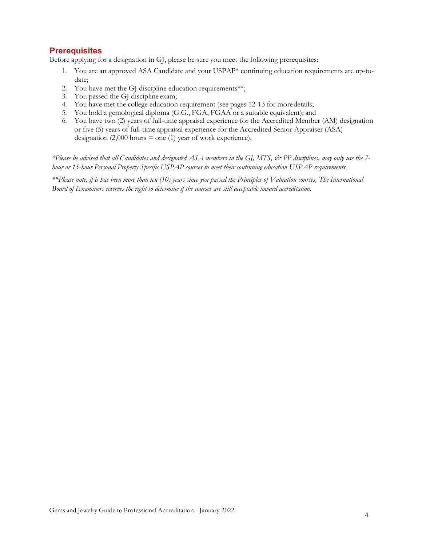#### **Prerequisites**

Before applying for a designation in GJ, please be sure you meet the following prerequisites:

- 1. You are an approved ASA Candidate and your USPAP\* continuing education requirements are up-todate;
- 2. You have met the GJ discipline education requirements\*\*;
- 3. You passed the GJ discipline exam;
- 4. You have met the college education requirement (see pages 12-13 for moredetails;
- 5. You hold a gemological diploma (G.G., FGA, FGAA or a suitable equivalent); and
- 6. You have two (2) years of full-time appraisal experience for the Accredited Member (AM) designation or five (5) years of full-time appraisal experience for the Accredited Senior Appraiser (ASA) designation  $(2,000 \text{ hours} = \text{one} (1) \text{ year of work experience}).$

*\*Please be advised that all Candidates and designated ASA members in the GJ, MTS, & PP disciplines, may only use the 7 hour or 15-hour Personal Property Specific USPAP courses to meet their continuing education USPAP requirements.*

*\*\*Please note, if it has been more than ten (10) years since you passed the Principles of Valuation courses, The International Board of Examiners reserves the right to determine if the courses are still acceptable toward accreditation.*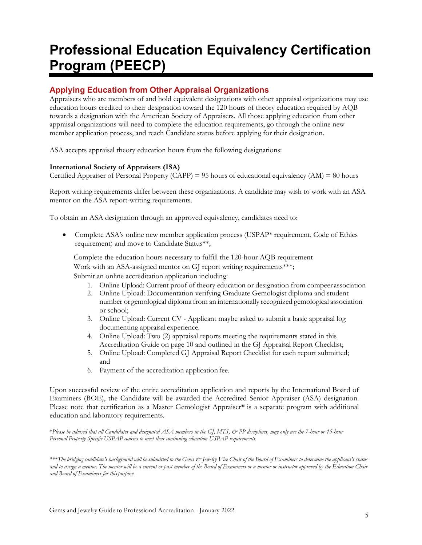### <span id="page-5-0"></span>**Professional Education Equivalency Certification Program (PEECP)**

#### **Applying Education from Other Appraisal Organizations**

Appraisers who are members of and hold equivalent designations with other appraisal organizations may use education hours credited to their designation toward the 120 hours of theory education required by AQB towards a designation with the American Society of Appraisers. All those applying education from other appraisal organizations will need to complete the education requirements, go through the online new member application process, and reach Candidate status before applying for their designation.

ASA accepts appraisal theory education hours from the following designations:

#### **International Society of Appraisers (ISA)**

Certified Appraiser of Personal Property (CAPP) = 95 hours of educational equivalency (AM) = 80 hours

Report writing requirements differ between these organizations. A candidate may wish to work with an ASA mentor on the ASA report-writing requirements.

To obtain an ASA designation through an approved equivalency, candidates need to:

• Complete ASA's online new member application process (USPAP\* requirement, Code of Ethics requirement) and move to Candidate Status\*\*;

Complete the education hours necessary to fulfill the 120-hour AQB requirement Work with an ASA-assigned mentor on GJ report writing requirements\*\*\*; Submit an online accreditation application including:

- 1. Online Upload: Current proof of theory education or designation from compeer association
- 2. Online Upload: Documentation verifying Graduate Gemologist diploma and student number or gemological diploma from an internationally recognized gemological association or school;
- 3. Online Upload: Current CV Applicant maybe asked to submit a basic appraisal log documenting appraisal experience.
- 4. Online Upload: Two (2) appraisal reports meeting the requirements stated in this Accreditation Guide on page 10 and outlined in the GJ Appraisal Report Checklist;
- 5. Online Upload: Completed GJ Appraisal Report Checklist for each report submitted; and
- 6. Payment of the accreditation application fee.

Upon successful review of the entire accreditation application and reports by the International Board of Examiners (BOE), the Candidate will be awarded the Accredited Senior Appraiser (ASA) designation. Please note that certification as a Master Gemologist Appraiser® is a separate program with additional education and laboratory requirements.

\**Please be advised that all Candidates and designated ASA members in the GJ, MTS, & PP disciplines, may only use the 7-hour or 15-hour Personal Property Specific USPAP courses to meet their continuing education USPAP requirements.*

\*\*\*The bridging candidate's background will be submitted to the Gems & [ewelry Vice Chair of the Board of Examiners to determine the applicant's status and to assign a mentor. The mentor will be a current or past member of the Board of Examiners or a mentor or instructor approved by the Education Chair *and Board of Examiners for this purpose.*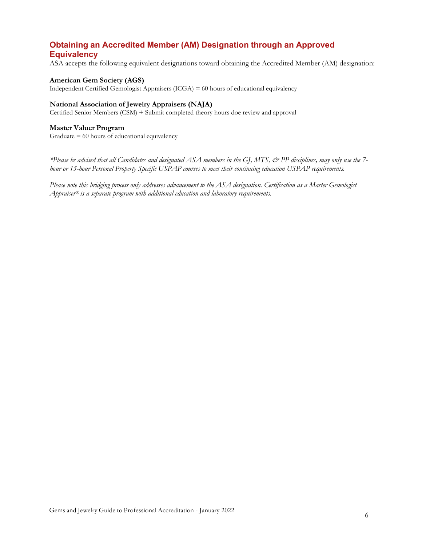#### **Obtaining an Accredited Member (AM) Designation through an Approved Equivalency**

ASA accepts the following equivalent designations toward obtaining the Accredited Member (AM) designation:

#### **American Gem Society (AGS)**

Independent Certified Gemologist Appraisers (ICGA) = 60 hours of educational equivalency

#### **National Association of Jewelry Appraisers (NAJA)**

Certified Senior Members (CSM) + Submit completed theory hours doe review and approval

#### **Master Valuer Program**

Graduate = 60 hours of educational equivalency

*\*Please be advised that all Candidates and designated ASA members in the GJ, MTS, & PP disciplines, may only use the 7 hour or 15-hour Personal Property Specific USPAP courses to meet their continuing education USPAP requirements.*

*Please note this bridging process only addresses advancement to the ASA designation. Certification as a Master Gemologist Appraiser® is a separate program with additional education and laboratory requirements.*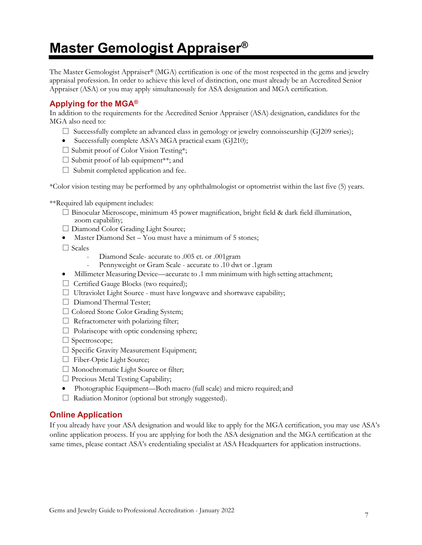### <span id="page-7-0"></span>**Master Gemologist Appraiser®**

The Master Gemologist Appraiser® (MGA) certification is one of the most respected in the gems and jewelry appraisal profession. In order to achieve this level of distinction, one must already be an Accredited Senior Appraiser (ASA) or you may apply simultaneously for ASA designation and MGA certification.

#### **Applying for the MGA®**

In addition to the requirements for the Accredited Senior Appraiser (ASA) designation, candidates for the MGA also need to:

- $\square$  Successfully complete an advanced class in gemology or jewelry connoisseurship (GJ209 series);
- Successfully complete ASA's MGA practical exam (GJ210);
- □ Submit proof of Color Vision Testing\*;
- $\square$  Submit proof of lab equipment\*\*; and
- $\Box$  Submit completed application and fee.

\*Color vision testing may be performed by any ophthalmologist or optometrist within the last five (5) years.

\*\*Required lab equipment includes:

- $\square$  Binocular Microscope, minimum 45 power magnification, bright field & dark field illumination, zoom capability;
- □ Diamond Color Grading Light Source;
- Master Diamond Set You must have a minimum of 5 stones;
- □ Scales
	- Diamond Scale- accurate to .005 ct. or .001gram
	- Pennyweight or Gram Scale accurate to .10 dwt or .1gram
- Millimeter Measuring Device—accurate to .1 mm minimum with high setting attachment;
- □ Certified Gauge Blocks (two required);
- □ Ultraviolet Light Source must have longwave and shortwave capability;
- □ Diamond Thermal Tester;
- □ Colored Stone Color Grading System;
- $\Box$  Refractometer with polarizing filter;
- $\Box$  Polariscope with optic condensing sphere;
- □ Spectroscope;
- □ Specific Gravity Measurement Equipment;
- □ Fiber-Optic Light Source;
- □ Monochromatic Light Source or filter;
- $\Box$  Precious Metal Testing Capability;
- Photographic Equipment—Both macro (full scale) and micro required; and
- $\Box$  Radiation Monitor (optional but strongly suggested).

#### **Online Application**

If you already have your ASA designation and would like to apply for the MGA certification, you may use ASA's online application process. If you are applying for both the ASA designation and the MGA certification at the same times, please contact ASA's credentialing specialist at ASA Headquarters for application instructions.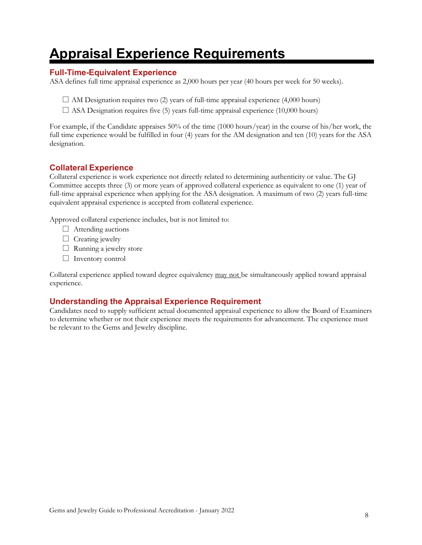### **Appraisal Experience Requirements**

#### <span id="page-8-0"></span>**Full-Time-Equivalent Experience**

ASA defines full time appraisal experience as 2,000 hours per year (40 hours per week for 50 weeks).

- $\square$  AM Designation requires two (2) years of full-time appraisal experience (4,000 hours)
- $\square$  ASA Designation requires five (5) years full-time appraisal experience (10,000 hours)

For example, if the Candidate appraises 50% of the time (1000 hours/year) in the course of his/her work, the full time experience would be fulfilled in four (4) years for the AM designation and ten (10) years for the ASA designation.

#### **Collateral Experience**

Collateral experience is work experience not directly related to determining authenticity or value. The GJ Committee accepts three (3) or more years of approved collateral experience as equivalent to one (1) year of full-time appraisal experience when applying for the ASA designation. A maximum of two (2) years full-time equivalent appraisal experience is accepted from collateral experience.

Approved collateral experience includes, but is not limited to:

- □ Attending auctions
- $\Box$  Creating jewelry
- $\Box$  Running a jewelry store
- □ Inventory control

Collateral experience applied toward degree equivalency may not be simultaneously applied toward appraisal experience.

#### **Understanding the Appraisal Experience Requirement**

Candidates need to supply sufficient actual documented appraisal experience to allow the Board of Examiners to determine whether or not their experience meets the requirements for advancement. The experience must be relevant to the Gems and Jewelry discipline.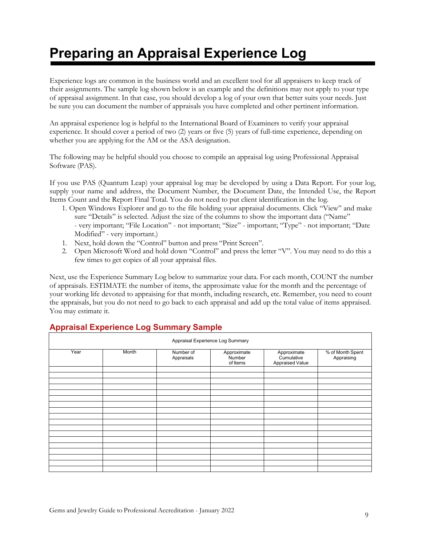## **Preparing an Appraisal Experience Log**

<span id="page-9-0"></span>Experience logs are common in the business world and an excellent tool for all appraisers to keep track of their assignments. The sample log shown below is an example and the definitions may not apply to your type of appraisal assignment. In that case, you should develop a log of your own that better suits your needs. Just be sure you can document the number of appraisals you have completed and other pertinent information.

An appraisal experience log is helpful to the International Board of Examiners to verify your appraisal experience. It should cover a period of two (2) years or five (5) years of full-time experience, depending on whether you are applying for the AM or the ASA designation.

The following may be helpful should you choose to compile an appraisal log using Professional Appraisal Software (PAS).

If you use PAS (Quantum Leap) your appraisal log may be developed by using a Data Report. For your log, supply your name and address, the Document Number, the Document Date, the Intended Use, the Report Items Count and the Report Final Total. You do not need to put client identification in the log.

- 1. Open Windows Explorer and go to the file holding your appraisal documents. Click "View" and make sure "Details" is selected. Adjust the size of the columns to show the important data ("Name" - very important; "File Location" - not important; "Size" - important; "Type" - not important; "Date Modified" - very important.)
- 1. Next, hold down the "Control" button and press "Print Screen".
- 2. Open Microsoft Word and hold down "Control" and press the letter "V". You may need to do this a few times to get copies of all your appraisal files.

Next, use the Experience Summary Log below to summarize your data. For each month, COUNT the number of appraisals. ESTIMATE the number of items, the approximate value for the month and the percentage of your working life devoted to appraising for that month, including research, etc. Remember, you need to count the appraisals, but you do not need to go back to each appraisal and add up the total value of items appraised. You may estimate it.

| Appraisal Experience Log Summary |       |                         |                                   |                                              |                                |  |  |
|----------------------------------|-------|-------------------------|-----------------------------------|----------------------------------------------|--------------------------------|--|--|
| Year                             | Month | Number of<br>Appraisals | Approximate<br>Number<br>of Items | Approximate<br>Cumulative<br>Appraised Value | % of Month Spent<br>Appraising |  |  |
|                                  |       |                         |                                   |                                              |                                |  |  |
|                                  |       |                         |                                   |                                              |                                |  |  |
|                                  |       |                         |                                   |                                              |                                |  |  |
|                                  |       |                         |                                   |                                              |                                |  |  |
|                                  |       |                         |                                   |                                              |                                |  |  |
|                                  |       |                         |                                   |                                              |                                |  |  |
|                                  |       |                         |                                   |                                              |                                |  |  |
|                                  |       |                         |                                   |                                              |                                |  |  |
|                                  |       |                         |                                   |                                              |                                |  |  |
|                                  |       |                         |                                   |                                              |                                |  |  |
|                                  |       |                         |                                   |                                              |                                |  |  |
|                                  |       |                         |                                   |                                              |                                |  |  |
|                                  |       |                         |                                   |                                              |                                |  |  |
|                                  |       |                         |                                   |                                              |                                |  |  |
|                                  |       |                         |                                   |                                              |                                |  |  |
|                                  |       |                         |                                   |                                              |                                |  |  |
|                                  |       |                         |                                   |                                              |                                |  |  |

#### **Appraisal Experience Log Summary Sample**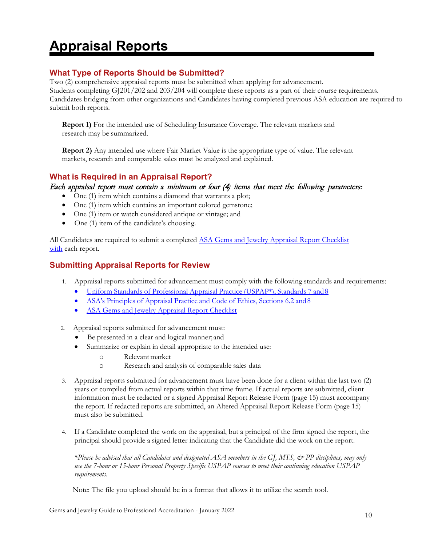### **Appraisal Reports**

#### <span id="page-10-0"></span>**What Type of Reports Should be Submitted?**

Two (2) comprehensive appraisal reports must be submitted when applying for advancement. Students completing GJ201/202 and 203/204 will complete these reports as a part of their course requirements. Candidates bridging from other organizations and Candidates having completed previous ASA education are required to submit both reports.

**Report 1)** For the intended use of Scheduling Insurance Coverage. The relevant markets and research may be summarized.

**Report 2)** Any intended use where Fair Market Value is the appropriate type of value. The relevant markets, research and comparable sales must be analyzed and explained.

#### **What is Required in an Appraisal Report?**

#### Each appraisal report must contain a minimum or four (4) items that meet the following parameters:

- One (1) item which contains a diamond that warrants a plot;
- One (1) item which contains an important colored gemstone;
- One (1) item or watch considered antique or vintage; and
- One (1) item of the candidate's choosing.

All Candidates are required to submit a completed [ASA Gems and Jewelry Appraisal Report Checklist](https://www.appraisers.org/docs/default-source/9.-credentialing/gj-fnl-jan-2022-gj-appraisal-report-checklist.pdf?) [with](https://www.appraisers.org/docs/default-source/9.-credentialing/gj-fnl-jan-2022-gj-appraisal-report-checklist.pdf?) each report.

#### **Submitting Appraisal Reports for Review**

- 1. Appraisal reports submitted for advancement must comply with the following standards and requirements:
	- Uniform Standards of [Professional](https://www.appraisalfoundation.org/iMIS/TAF/Default.aspx?hkey=87515edb-20e4-40fc-936f-9fe6c3a9532e&%3Bamp%3BWebsiteKey=e12b6085-ff54-45c1-853e-b838ca4b9895) Appraisal Practice (USPAP\*), Standards 7 and8
	- ASA's [Principles](https://www.appraisers.org/docs/default-source/3---governing-documents/asa_code_of_ethics_2020_11_18.pdf?) of Appraisal Practice and Code of Ethics, Sections 6.2 and 8
	- ASA Gems and [Jewelry Appraisal Report Checklist](https://www.appraisers.org/docs/default-source/3---governing-documents/asa_code_of_ethics_2020_11_18.pdf?)
- 2. Appraisal reports submitted for advancement must:
	- Be presented in a clear and logical manner; and
	- Summarize or explain in detail appropriate to the intended use:
		- o Relevantmarket
		- o Research and analysis of comparable sales data
- 3. Appraisal reports submitted for advancement must have been done for a client within the last two (2) years or compiled from actual reports within that time frame. If actual reports are submitted, client information must be redacted or a signed Appraisal Report Release Form (page 15) must accompany the report. If redacted reports are submitted, an Altered Appraisal Report Release Form (page 15) must also be submitted.
- 4. If a Candidate completed the work on the appraisal, but a principal of the firm signed the report, the principal should provide a signed letter indicating that the Candidate did the work on the report.

*\*Please be advised that all Candidates and designated ASA members in the GJ, MTS, & PP disciplines, may only use the 7-hour or 15-hour Personal Property Specific USPAP courses to meet their continuing education USPAP requirements.*

Note: The file you upload should be in a format that allows it to utilize the search tool.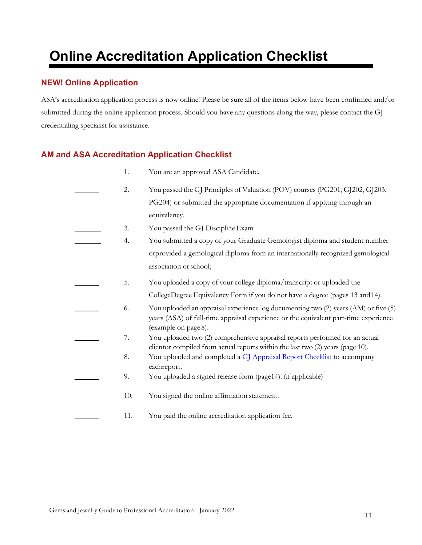# **Online Accreditation Application Checklist**

#### <span id="page-11-0"></span>**NEW! Online Application**

ASA's accreditation application process is now online! Please be sure all of the items below have been confirmed and/or submitted during the online application process. Should you have any questions along the way, please contact the GJ credentialing specialist for assistance.

#### **AM and ASA Accreditation Application Checklist**

| 1.  | You are an approved ASA Candidate.                                                                                                                                                                  |
|-----|-----------------------------------------------------------------------------------------------------------------------------------------------------------------------------------------------------|
| 2.  | You passed the GJ Principles of Valuation (POV) courses (PG201, GJ202, GJ203,                                                                                                                       |
|     | PG204) or submitted the appropriate documentation if applying through an                                                                                                                            |
|     | equivalency.                                                                                                                                                                                        |
| 3.  | You passed the GJ Discipline Exam                                                                                                                                                                   |
| 4.  | You submitted a copy of your Graduate Gemologist diploma and student number                                                                                                                         |
|     | orprovided a gemological diploma from an internationally recognized gemological                                                                                                                     |
|     | association or school;                                                                                                                                                                              |
| 5.  | You uploaded a copy of your college diploma/transcript or uploaded the                                                                                                                              |
|     | CollegeDegree Equivalency Form if you do not have a degree (pages 13 and 14).                                                                                                                       |
| 6.  | You uploaded an appraisal experience log documenting two (2) years (AM) or five (5)<br>years (ASA) of full-time appraisal experience or the equivalent part-time experience<br>(example on page 8). |
| 7.  | You uploaded two (2) comprehensive appraisal reports performed for an actual                                                                                                                        |
|     | clientor compiled from actual reports within the last two (2) years (page 10).                                                                                                                      |
| 8.  | You uploaded and completed a GJ Appraisal Report Checklist to accompany<br>eachreport.                                                                                                              |
| 9.  | You uploaded a signed release form (page14). (if applicable)                                                                                                                                        |
| 10. | You signed the online affirmation statement.                                                                                                                                                        |
| 11. | You paid the online accreditation application fee.                                                                                                                                                  |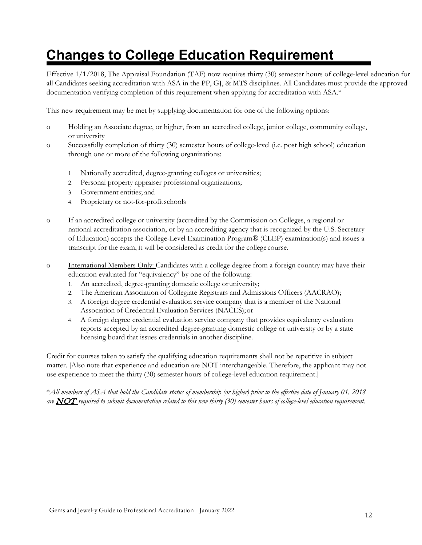### **Changes to College Education Requirement**

<span id="page-12-0"></span>Effective 1/1/2018, The Appraisal Foundation (TAF) now requires thirty (30) semester hours of college-level education for all Candidates seeking accreditation with ASA in the PP, GJ, & MTS disciplines. All Candidates must provide the approved documentation verifying completion of this requirement when applying for accreditation with ASA.\*

This new requirement may be met by supplying documentation for one of the following options:

- o Holding an Associate degree, or higher, from an accredited college, junior college, community college, or university
- o Successfully completion of thirty (30) semester hours of college-level (i.e. post high school) education through one or more of the following organizations:
	- 1. Nationally accredited, degree-granting colleges or universities;
	- 2. Personal property appraiser professional organizations;
	- 3. Government entities; and
	- 4. Proprietary or not-for-profitschools
- o If an accredited college or university (accredited by the Commission on Colleges, a regional or national accreditation association, or by an accrediting agency that is recognized by the U.S. Secretary of Education) accepts the College-Level Examination Program® (CLEP) examination(s) and issues a transcript for the exam, it will be considered as credit for the college course.
- o International Members Only: Candidates with a college degree from a foreign country may have their education evaluated for "equivalency" by one of the following:
	- 1. An accredited, degree-granting domestic college oruniversity;
	- 2. The American Association of Collegiate Registrars and Admissions Officers (AACRAO);
	- 3. A foreign degree credential evaluation service company that is a member of the National Association of Credential Evaluation Services (NACES);or
	- 4. A foreign degree credential evaluation service company that provides equivalency evaluation reports accepted by an accredited degree-granting domestic college or university or by a state licensing board that issues credentials in another discipline.

Credit for courses taken to satisfy the qualifying education requirements shall not be repetitive in subject matter. [Also note that experience and education are NOT interchangeable. Therefore, the applicant may not use experience to meet the thirty (30) semester hours of college-level education requirement.]

\**All members of ASA that hold the Candidate status of membership (or higher) prior to the effective date of January 01, 2018* are  $\overline{NOT}$  required to submit documentation related to this new thirty (30) semester hours of college-level education requirement.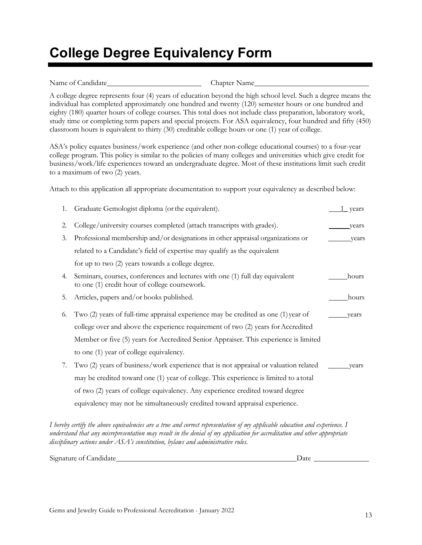### **College Degree Equivalency Form**

<span id="page-13-0"></span>Name of Candidate Chapter Name

A college degree represents four (4) years of education beyond the high school level. Such a degree means the individual has completed approximately one hundred and twenty (120) semester hours or one hundred and eighty (180) quarter hours of college courses. This total does not include class preparation, laboratory work, study time or completing term papers and special projects. For ASA equivalency, four hundred and fifty (450) classroom hours is equivalent to thirty (30) creditable college hours or one (1) year of college.

ASA's policy equates business/work experience (and other non-college educational courses) to a four-year college program. This policy is similar to the policies of many colleges and universities which give credit for business/work/life experiences toward an undergraduate degree. Most of these institutions limit such credit to a maximum of two (2) years.

Attach to this application all appropriate documentation to support your equivalency as described below:

| 1. | Graduate Gemologist diploma (or the equivalent).                                                                              | 1 years |
|----|-------------------------------------------------------------------------------------------------------------------------------|---------|
| 2. | College/university courses completed (attach transcripts with grades).                                                        | years   |
| 3. | Professional membership and/or designations in other appraisal organizations or                                               | years   |
|    | related to a Candidate's field of expertise may qualify as the equivalent                                                     |         |
|    | for up to two (2) years towards a college degree.                                                                             |         |
| 4. | Seminars, courses, conferences and lectures with one (1) full day equivalent<br>to one (1) credit hour of college coursework. | hours   |
| 5. | Articles, papers and/or books published.                                                                                      | hours   |
| 6. | Two (2) years of full-time appraisal experience may be credited as one (1) year of                                            | years   |
|    | college over and above the experience requirement of two (2) years for Accredited                                             |         |
|    | Member or five (5) years for Accredited Senior Appraiser. This experience is limited                                          |         |
|    | to one (1) year of college equivalency.                                                                                       |         |
| 7. | Two (2) years of business/work experience that is not appraisal or valuation related                                          | vears   |
|    | may be credited toward one (1) year of college. This experience is limited to a total                                         |         |
|    | of two (2) years of college equivalency. Any experience credited toward degree                                                |         |
|    | equivalency may not be simultaneously credited toward appraisal experience.                                                   |         |
|    |                                                                                                                               |         |

*I hereby certify the above equivalencies are a true and correct representation of my applicable education and experience. I understand that any misrepresentation may result in the denial of my application for accreditation and other appropriate disciplinary actions under ASA's constitution, bylaws and administrative rules.*

Signature of Candidate Date Date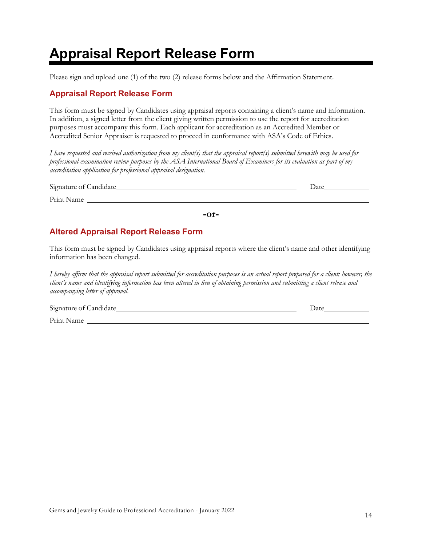### **Appraisal Report Release Form**

<span id="page-14-0"></span>Please sign and upload one (1) of the two (2) release forms below and the Affirmation Statement.

#### **Appraisal Report Release Form**

This form must be signed by Candidates using appraisal reports containing a client's name and information. In addition, a signed letter from the client giving written permission to use the report for accreditation purposes must accompany this form. Each applicant for accreditation as an Accredited Member or Accredited Senior Appraiser is requested to proceed in conformance with ASA's Code of Ethics.

*I have requested and received authorization from my client(s) that the appraisal report(s) submitted herewith may be used for professional examination review purposes by the ASA International Board of Examiners for its evaluation as part of my accreditation application for professional appraisal designation.*

| Signature of Candidate | Date |
|------------------------|------|
| Print Name             |      |
|                        |      |

**-or-**

#### **Altered Appraisal Report Release Form**

This form must be signed by Candidates using appraisal reports where the client's name and other identifying information has been changed.

*I hereby affirm that the appraisal report submitted for accreditation purposes is an actual report prepared for a client; however, the client's name and identifying information has been altered in lieu of obtaining permission and submitting a client release and accompanying letter of approval.*

Signature of Candidate Date

Print Name